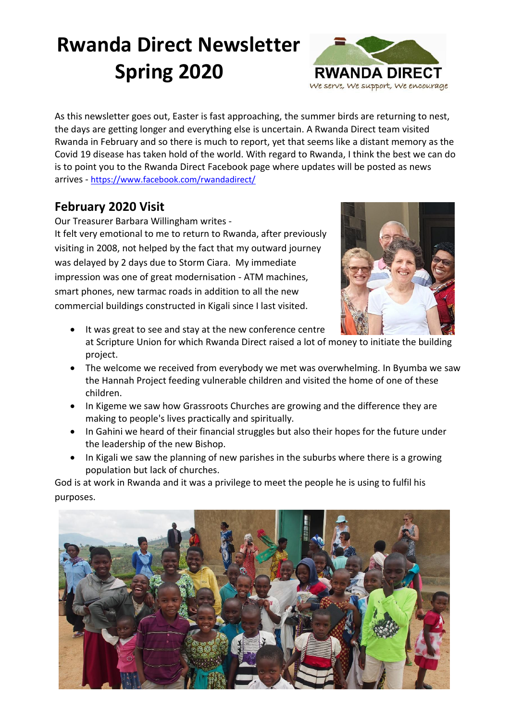# **Rwanda Direct Newsletter Spring 2020**



As this newsletter goes out, Easter is fast approaching, the summer birds are returning to nest, the days are getting longer and everything else is uncertain. A Rwanda Direct team visited Rwanda in February and so there is much to report, yet that seems like a distant memory as the Covid 19 disease has taken hold of the world. With regard to Rwanda, I think the best we can do is to point you to the Rwanda Direct Facebook page where updates will be posted as news arrives - <https://www.facebook.com/rwandadirect/>

## **February 2020 Visit**

Our Treasurer Barbara Willingham writes -

It felt very emotional to me to return to Rwanda, after previously visiting in 2008, not helped by the fact that my outward journey was delayed by 2 days due to Storm Ciara. My immediate impression was one of great modernisation - ATM machines, smart phones, new tarmac roads in addition to all the new commercial buildings constructed in Kigali since I last visited.



- It was great to see and stay at the new conference centre at Scripture Union for which Rwanda Direct raised a lot of money to initiate the building project.
- The welcome we received from everybody we met was overwhelming. In Byumba we saw the Hannah Project feeding vulnerable children and visited the home of one of these children.
- In Kigeme we saw how Grassroots Churches are growing and the difference they are making to people's lives practically and spiritually.
- In Gahini we heard of their financial struggles but also their hopes for the future under the leadership of the new Bishop.
- In Kigali we saw the planning of new parishes in the suburbs where there is a growing population but lack of churches.

God is at work in Rwanda and it was a privilege to meet the people he is using to fulfil his purposes.

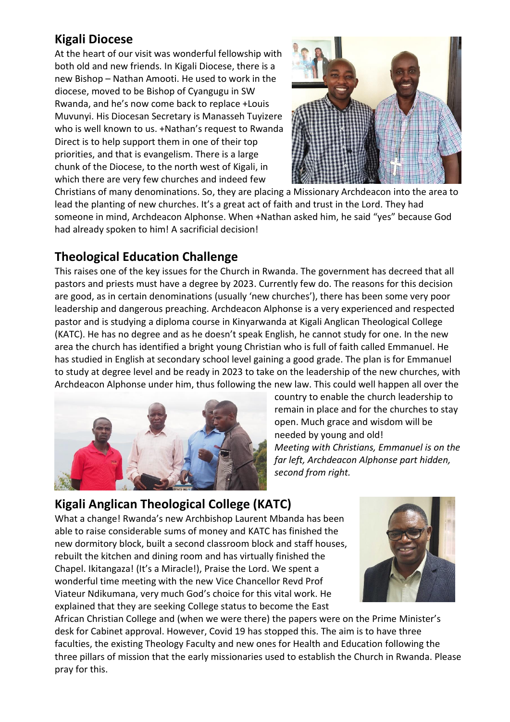## **Kigali Diocese**

At the heart of our visit was wonderful fellowship with both old and new friends. In Kigali Diocese, there is a new Bishop – Nathan Amooti. He used to work in the diocese, moved to be Bishop of Cyangugu in SW Rwanda, and he's now come back to replace +Louis Muvunyi. His Diocesan Secretary is Manasseh Tuyizere who is well known to us. +Nathan's request to Rwanda Direct is to help support them in one of their top priorities, and that is evangelism. There is a large chunk of the Diocese, to the north west of Kigali, in which there are very few churches and indeed few



Christians of many denominations. So, they are placing a Missionary Archdeacon into the area to lead the planting of new churches. It's a great act of faith and trust in the Lord. They had someone in mind, Archdeacon Alphonse. When +Nathan asked him, he said "yes" because God had already spoken to him! A sacrificial decision!

## **Theological Education Challenge**

This raises one of the key issues for the Church in Rwanda. The government has decreed that all pastors and priests must have a degree by 2023. Currently few do. The reasons for this decision are good, as in certain denominations (usually 'new churches'), there has been some very poor leadership and dangerous preaching. Archdeacon Alphonse is a very experienced and respected pastor and is studying a diploma course in Kinyarwanda at Kigali Anglican Theological College (KATC). He has no degree and as he doesn't speak English, he cannot study for one. In the new area the church has identified a bright young Christian who is full of faith called Emmanuel. He has studied in English at secondary school level gaining a good grade. The plan is for Emmanuel to study at degree level and be ready in 2023 to take on the leadership of the new churches, with Archdeacon Alphonse under him, thus following the new law. This could well happen all over the



country to enable the church leadership to remain in place and for the churches to stay open. Much grace and wisdom will be needed by young and old! *Meeting with Christians, Emmanuel is on the far left, Archdeacon Alphonse part hidden, second from right.* 

## **Kigali Anglican Theological College (KATC)**

What a change! Rwanda's new Archbishop Laurent Mbanda has been able to raise considerable sums of money and KATC has finished the new dormitory block, built a second classroom block and staff houses, rebuilt the kitchen and dining room and has virtually finished the Chapel. Ikitangaza! (It's a Miracle!), Praise the Lord. We spent a wonderful time meeting with the new Vice Chancellor Revd Prof Viateur Ndikumana, very much God's choice for this vital work. He explained that they are seeking College status to become the East



African Christian College and (when we were there) the papers were on the Prime Minister's desk for Cabinet approval. However, Covid 19 has stopped this. The aim is to have three faculties, the existing Theology Faculty and new ones for Health and Education following the three pillars of mission that the early missionaries used to establish the Church in Rwanda. Please pray for this.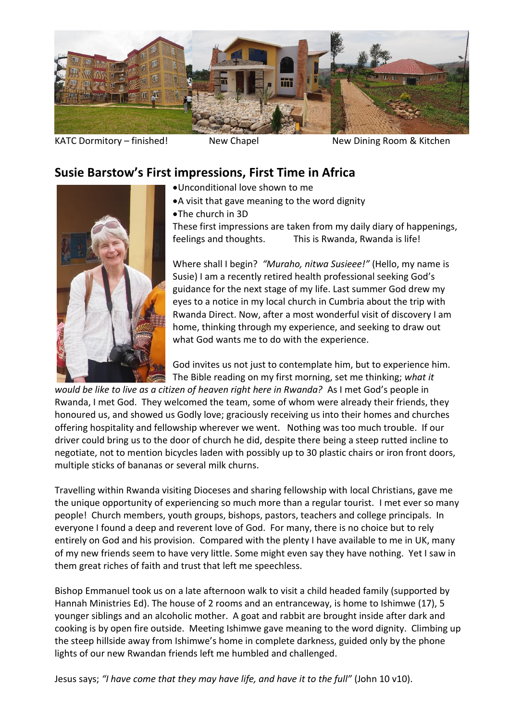

KATC Dormitory – finished! New Chapel New Dining Room & Kitchen

#### **Susie Barstow's First impressions, First Time in Africa**

- •Unconditional love shown to me
	- •A visit that gave meaning to the word dignity
- •The church in 3D

These first impressions are taken from my daily diary of happenings, feelings and thoughts. This is Rwanda, Rwanda is life!

Where shall I begin? *"Muraho, nitwa Susieee!"* (Hello, my name is Susie) I am a recently retired health professional seeking God's guidance for the next stage of my life. Last summer God drew my eyes to a notice in my local church in Cumbria about the trip with Rwanda Direct. Now, after a most wonderful visit of discovery I am home, thinking through my experience, and seeking to draw out what God wants me to do with the experience.

God invites us not just to contemplate him, but to experience him. The Bible reading on my first morning, set me thinking; *what it* 

*would be like to live as a citizen of heaven right here in Rwanda?* As I met God's people in Rwanda, I met God. They welcomed the team, some of whom were already their friends, they honoured us, and showed us Godly love; graciously receiving us into their homes and churches offering hospitality and fellowship wherever we went. Nothing was too much trouble. If our driver could bring us to the door of church he did, despite there being a steep rutted incline to negotiate, not to mention bicycles laden with possibly up to 30 plastic chairs or iron front doors, multiple sticks of bananas or several milk churns.

Travelling within Rwanda visiting Dioceses and sharing fellowship with local Christians, gave me the unique opportunity of experiencing so much more than a regular tourist. I met ever so many people! Church members, youth groups, bishops, pastors, teachers and college principals. In everyone I found a deep and reverent love of God. For many, there is no choice but to rely entirely on God and his provision. Compared with the plenty I have available to me in UK, many of my new friends seem to have very little. Some might even say they have nothing. Yet I saw in them great riches of faith and trust that left me speechless.

Bishop Emmanuel took us on a late afternoon walk to visit a child headed family (supported by Hannah Ministries Ed). The house of 2 rooms and an entranceway, is home to Ishimwe (17), 5 younger siblings and an alcoholic mother. A goat and rabbit are brought inside after dark and cooking is by open fire outside. Meeting Ishimwe gave meaning to the word dignity. Climbing up the steep hillside away from Ishimwe's home in complete darkness, guided only by the phone lights of our new Rwandan friends left me humbled and challenged.

Jesus says; *"I have come that they may have life, and have it to the full"* (John 10 v10).